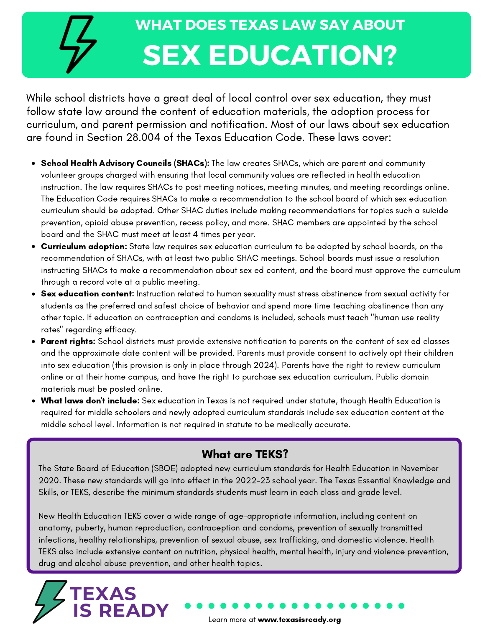## **WHAT DOES TEXAS LAW SAY ABOUT SEX EDUCATION?**

While school districts have a great deal of local control over sex education, they must follow state law around the content of education materials, the adoption process for curriculum, and parent permission and notification. Most of our laws about sex education are found in Section 28.004 of the Texas Education Code. These laws cover:

- School Health Advisory Councils (SHACs): The law creates SHACs, which are parent and community volunteer groups charged with ensuring that local community values are reflected in health education instruction. The law requires SHACs to post meeting notices, meeting minutes, and meeting recordings online. The Education Code requires SHACs to make a recommendation to the school board of which sex education curriculum should be adopted. Other SHAC duties include making recommendations for topics such a suicide prevention, opioid abuse prevention, recess policy, and more. SHAC members are appointed by the school board and the SHAC must meet at least 4 times per year.
- **Curriculum adoption:** State law requires sex education curriculum to be adopted by school boards, on the recommendation of SHACs, with at least two public SHAC meetings. School boards must issue a resolution instructing SHACs to make a recommendation about sex ed content, and the board must approve the curriculum through a record vote at a public meeting.
- **Sex education content:** Instruction related to human sexuality must stress abstinence from sexual activity for students as the preferred and safest choice of behavior and spend more time teaching abstinence than any other topic. If education on contraception and condoms is included, schools must teach "human use reality rates" regarding efficacy.
- Parent rights: School districts must provide extensive notification to parents on the content of sex ed classes and the approximate date content will be provided. Parents must provide consent to actively opt their children into sex education (this provision is only in place through 2024). Parents have the right to review curriculum online or at their home campus, and have the right to purchase sex education curriculum. Public domain materials must be posted online.
- What laws don't include: Sex education in Texas is not required under statute, though Health Education is required for middle schoolers and newly adopted curriculum standards include sex education content at the middle school level. Information is not required in statute to be medically accurate.

## What are TEKS?

The State Board of Education (SBOE) adopted new curriculum standards for Health Education in November 2020. These new standards will go into effect in the 2022-23 school year. The Texas Essential Knowledge and Skills, or TEKS, describe the minimum standards students must learn in each class and grade level.

New Health Education TEKS cover a wide range of age-appropriate information, including content on anatomy, puberty, human reproduction, contraception and condoms, prevention of sexually transmitted infections, healthy relationships, prevention of sexual abuse, sex trafficking, and domestic violence. Health TEKS also include extensive content on nutrition, physical health, mental health, injury and violence prevention, drug and alcohol abuse prevention, and other health topics.

TEXAS